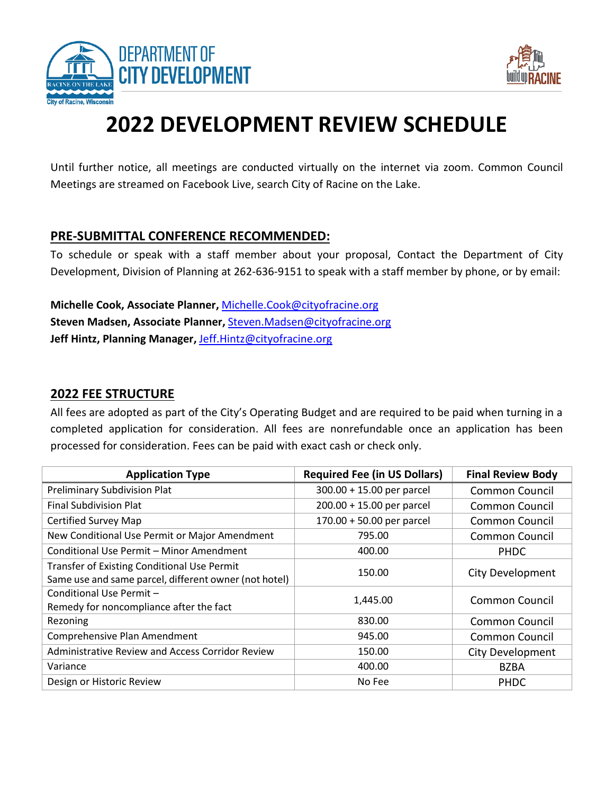



## **2022 DEVELOPMENT REVIEW SCHEDULE**

Until further notice, all meetings are conducted virtually on the internet via zoom. Common Council Meetings are streamed on Facebook Live, search City of Racine on the Lake.

## **PRE-SUBMITTAL CONFERENCE RECOMMENDED:**

To schedule or speak with a staff member about your proposal, Contact the Department of City Development, Division of Planning at 262-636-9151 to speak with a staff member by phone, or by email:

**Michelle Cook, Associate Planner,** [Michelle.Cook@cityofracine.org](mailto:Michelle.Cook@cityofracine.org) **Steven Madsen, Associate Planner,** [Steven.Madsen@cityofracine.org](mailto:Steven.Madsen@cityofracine.org) **Jeff Hintz, Planning Manager,** [Jeff.Hintz@cityofracine.org](mailto:Jeff.Hintz@cityofracine.org)

## **2022 FEE STRUCTURE**

All fees are adopted as part of the City's Operating Budget and are required to be paid when turning in a completed application for consideration. All fees are nonrefundable once an application has been processed for consideration. Fees can be paid with exact cash or check only.

| <b>Application Type</b>                                                                                     | <b>Required Fee (in US Dollars)</b> | <b>Final Review Body</b> |
|-------------------------------------------------------------------------------------------------------------|-------------------------------------|--------------------------|
| Preliminary Subdivision Plat                                                                                | 300.00 + 15.00 per parcel           | <b>Common Council</b>    |
| <b>Final Subdivision Plat</b>                                                                               | $200.00 + 15.00$ per parcel         | <b>Common Council</b>    |
| <b>Certified Survey Map</b>                                                                                 | 170.00 + 50.00 per parcel           | Common Council           |
| New Conditional Use Permit or Major Amendment                                                               | 795.00                              | <b>Common Council</b>    |
| Conditional Use Permit - Minor Amendment                                                                    | 400.00                              | <b>PHDC</b>              |
| <b>Transfer of Existing Conditional Use Permit</b><br>Same use and same parcel, different owner (not hotel) | 150.00                              | City Development         |
| Conditional Use Permit -<br>Remedy for noncompliance after the fact                                         | 1,445.00                            | <b>Common Council</b>    |
| Rezoning                                                                                                    | 830.00                              | <b>Common Council</b>    |
| Comprehensive Plan Amendment                                                                                | 945.00                              | <b>Common Council</b>    |
| Administrative Review and Access Corridor Review                                                            | 150.00                              | City Development         |
| Variance                                                                                                    | 400.00                              | <b>BZBA</b>              |
| Design or Historic Review                                                                                   | No Fee                              | <b>PHDC</b>              |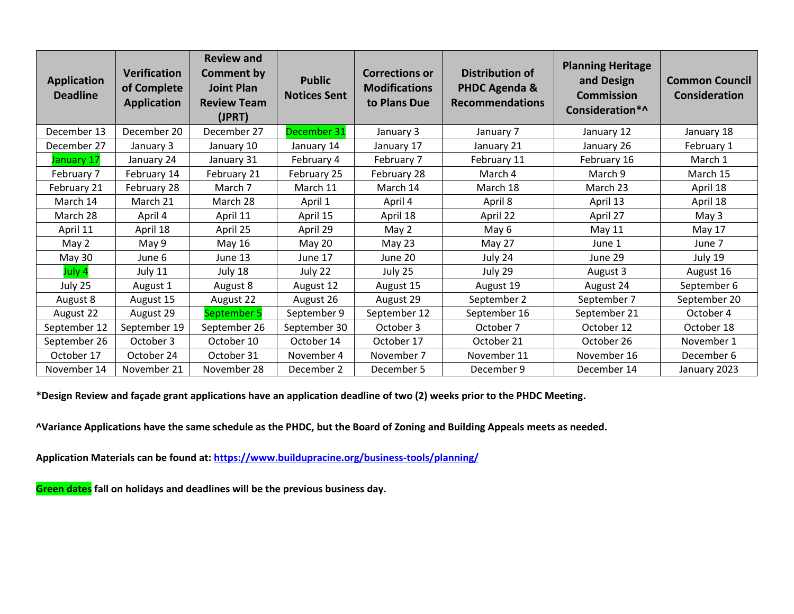| <b>Application</b><br><b>Deadline</b> | <b>Verification</b><br>of Complete<br><b>Application</b> | <b>Review and</b><br><b>Comment by</b><br><b>Joint Plan</b><br><b>Review Team</b><br>(JPRT) | <b>Public</b><br><b>Notices Sent</b> | <b>Corrections or</b><br><b>Modifications</b><br>to Plans Due | <b>Distribution of</b><br>PHDC Agenda &<br><b>Recommendations</b> | <b>Planning Heritage</b><br>and Design<br><b>Commission</b><br>Consideration*^ | <b>Common Council</b><br><b>Consideration</b> |
|---------------------------------------|----------------------------------------------------------|---------------------------------------------------------------------------------------------|--------------------------------------|---------------------------------------------------------------|-------------------------------------------------------------------|--------------------------------------------------------------------------------|-----------------------------------------------|
| December 13                           | December 20                                              | December 27                                                                                 | December 31                          | January 3                                                     | January 7                                                         | January 12                                                                     | January 18                                    |
| December 27                           | January 3                                                | January 10                                                                                  | January 14                           | January 17                                                    | January 21                                                        | January 26                                                                     | February 1                                    |
| January 17                            | January 24                                               | January 31                                                                                  | February 4                           | February 7                                                    | February 11                                                       | February 16                                                                    | March 1                                       |
| February 7                            | February 14                                              | February 21                                                                                 | February 25                          | February 28                                                   | March 4                                                           | March 9                                                                        | March 15                                      |
| February 21                           | February 28                                              | March 7                                                                                     | March 11                             | March 14                                                      | March 18                                                          | March 23                                                                       | April 18                                      |
| March 14                              | March 21                                                 | March 28                                                                                    | April 1                              | April 4                                                       | April 8                                                           | April 13                                                                       | April 18                                      |
| March 28                              | April 4                                                  | April 11                                                                                    | April 15                             | April 18                                                      | April 22                                                          | April 27                                                                       | May 3                                         |
| April 11                              | April 18                                                 | April 25                                                                                    | April 29                             | May 2                                                         | May 6                                                             | May 11                                                                         | May 17                                        |
| May 2                                 | May 9                                                    | May 16                                                                                      | <b>May 20</b>                        | May 23                                                        | May 27                                                            | June 1                                                                         | June 7                                        |
| May 30                                | June 6                                                   | June 13                                                                                     | June 17                              | June 20                                                       | July 24                                                           | June 29                                                                        | July 19                                       |
| July 4                                | July 11                                                  | July 18                                                                                     | July 22                              | July 25                                                       | July 29                                                           | August 3                                                                       | August 16                                     |
| July 25                               | August 1                                                 | August 8                                                                                    | August 12                            | August 15                                                     | August 19                                                         | August 24                                                                      | September 6                                   |
| August 8                              | August 15                                                | August 22                                                                                   | August 26                            | August 29                                                     | September 2                                                       | September 7                                                                    | September 20                                  |
| August 22                             | August 29                                                | September 5                                                                                 | September 9                          | September 12                                                  | September 16                                                      | September 21                                                                   | October 4                                     |
| September 12                          | September 19                                             | September 26                                                                                | September 30                         | October 3                                                     | October 7                                                         | October 12                                                                     | October 18                                    |
| September 26                          | October 3                                                | October 10                                                                                  | October 14                           | October 17                                                    | October 21                                                        | October 26                                                                     | November 1                                    |
| October 17                            | October 24                                               | October 31                                                                                  | November 4                           | November 7                                                    | November 11                                                       | November 16                                                                    | December 6                                    |
| November 14                           | November 21                                              | November 28                                                                                 | December 2                           | December 5                                                    | December 9                                                        | December 14                                                                    | January 2023                                  |

**\*Design Review and façade grant applications have an application deadline of two (2) weeks prior to the PHDC Meeting.**

**^Variance Applications have the same schedule as the PHDC, but the Board of Zoning and Building Appeals meets as needed.**

**Application Materials can be found at:<https://www.buildupracine.org/business-tools/planning/>**

**Green dates fall on holidays and deadlines will be the previous business day.**